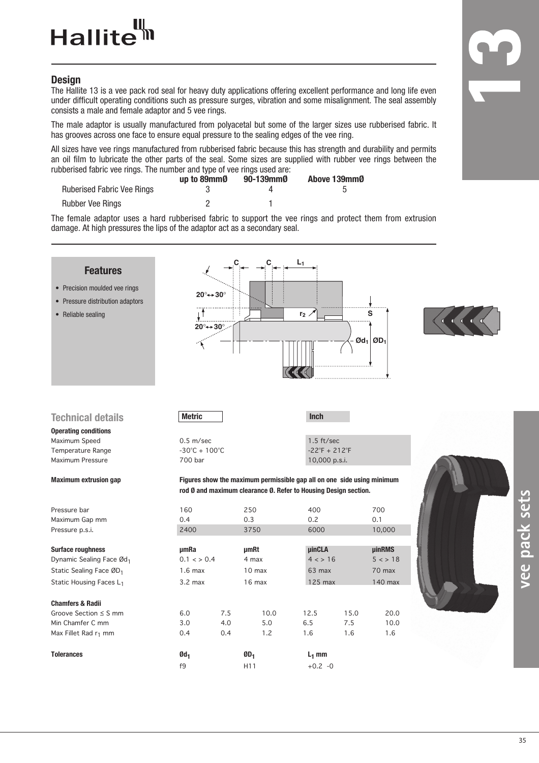## **Hallite**

## **Design**

The Hallite 13 is a vee pack rod seal for heavy duty applications offering excellent performance and long life even under difficult operating conditions such as pressure surges, vibration and some misalignment. The seal assembly consists a male and female adaptor and 5 vee rings.

The male adaptor is usually manufactured from polyacetal but some of the larger sizes use rubberised fabric. It has grooves across one face to ensure equal pressure to the sealing edges of the vee ring.

All sizes have vee rings manufactured from rubberised fabric because this has strength and durability and permits an oil film to lubricate the other parts of the seal. Some sizes are supplied with rubber vee rings between the rubberised fabric vee rings. The number and type of vee rings used are:

|                                   | up to 89mm0 | 90-139mm0 | Above 139mmØ |
|-----------------------------------|-------------|-----------|--------------|
| <b>Ruberised Fabric Vee Rings</b> |             |           |              |
| Rubber Vee Rings                  |             |           |              |

The female adaptor uses a hard rubberised fabric to support the vee rings and protect them from extrusion damage. At high pressures the lips of the adaptor act as a secondary seal.

| <b>Features</b><br>• Precision moulded vee rings<br>• Pressure distribution adaptors<br>• Reliable sealing |                       | $20^\circ \rightarrow 30^\circ$<br>$20^\circ \rightarrow 30^\circ$ |                                                                                                                                           | L <sub>1</sub><br>r <sub>2</sub> |                               |      | S<br>$\mathfrak{O}d_1$ $\mathfrak{O}D_1$ |  |
|------------------------------------------------------------------------------------------------------------|-----------------------|--------------------------------------------------------------------|-------------------------------------------------------------------------------------------------------------------------------------------|----------------------------------|-------------------------------|------|------------------------------------------|--|
| <b>Technical details</b>                                                                                   | <b>Metric</b>         |                                                                    |                                                                                                                                           |                                  | Inch                          |      |                                          |  |
| <b>Operating conditions</b>                                                                                |                       |                                                                    |                                                                                                                                           |                                  |                               |      |                                          |  |
| Maximum Speed                                                                                              | $0.5$ m/sec           |                                                                    |                                                                                                                                           |                                  | $1.5 \text{ ft/sec}$          |      |                                          |  |
| Temperature Range                                                                                          |                       | $-30^{\circ}$ C + 100 $^{\circ}$ C                                 |                                                                                                                                           |                                  | $-22^{\circ}F + 212^{\circ}F$ |      |                                          |  |
| Maximum Pressure                                                                                           | 700 bar               |                                                                    |                                                                                                                                           |                                  | 10,000 p.s.i.                 |      |                                          |  |
| <b>Maximum extrusion gap</b>                                                                               |                       |                                                                    | Figures show the maximum permissible gap all on one side using minimum<br>rod Ø and maximum clearance Ø. Refer to Housing Design section. |                                  |                               |      |                                          |  |
| Pressure bar                                                                                               | 160                   |                                                                    | 250                                                                                                                                       |                                  | 400                           |      | 700                                      |  |
| Maximum Gap mm                                                                                             | 0.4                   |                                                                    | 0.3                                                                                                                                       |                                  | 0.2                           |      | 0.1                                      |  |
| Pressure p.s.i.                                                                                            | 2400                  |                                                                    | 3750                                                                                                                                      |                                  | 6000                          |      | 10,000                                   |  |
| <b>Surface roughness</b>                                                                                   | umRa                  |                                                                    | <b>µmRt</b>                                                                                                                               |                                  | <b>uinCLA</b>                 |      | <b>uinRMS</b>                            |  |
| Dynamic Sealing Face Ød1                                                                                   | $0.1 \leq x \leq 0.4$ |                                                                    | 4 max                                                                                                                                     |                                  | 4 < 16                        |      | 5 < 18                                   |  |
| Static Sealing Face ØD <sub>1</sub>                                                                        | $1.6$ max             |                                                                    | 10 <sub>max</sub>                                                                                                                         |                                  | 63 max                        |      | 70 max                                   |  |
| Static Housing Faces L <sub>1</sub>                                                                        | $3.2$ max             |                                                                    | 16 max                                                                                                                                    |                                  | 125 max                       |      | 140 max                                  |  |
| <b>Chamfers &amp; Radii</b>                                                                                |                       |                                                                    |                                                                                                                                           |                                  |                               |      |                                          |  |
| Groove Section $\leq$ S mm                                                                                 | 6.0                   | 7.5                                                                | 10.0                                                                                                                                      |                                  | 12.5                          | 15.0 | 20.0                                     |  |
| Min Chamfer C mm                                                                                           | 3.0                   | 4.0                                                                | 5.0                                                                                                                                       |                                  | 6.5                           | 7.5  | 10.0                                     |  |
| Max Fillet Rad r <sub>1</sub> mm                                                                           | 0.4                   | 0.4                                                                | 1.2                                                                                                                                       |                                  | 1.6                           | 1.6  | 1.6                                      |  |
| <b>Tolerances</b>                                                                                          | $Qd_1$                |                                                                    | $ØD_1$                                                                                                                                    |                                  | $L_1$ mm                      |      |                                          |  |
|                                                                                                            | f9                    |                                                                    | H11                                                                                                                                       |                                  | $+0.2 -0$                     |      |                                          |  |

35

**vee pack sets**

vee pack sets

**1**

**3**